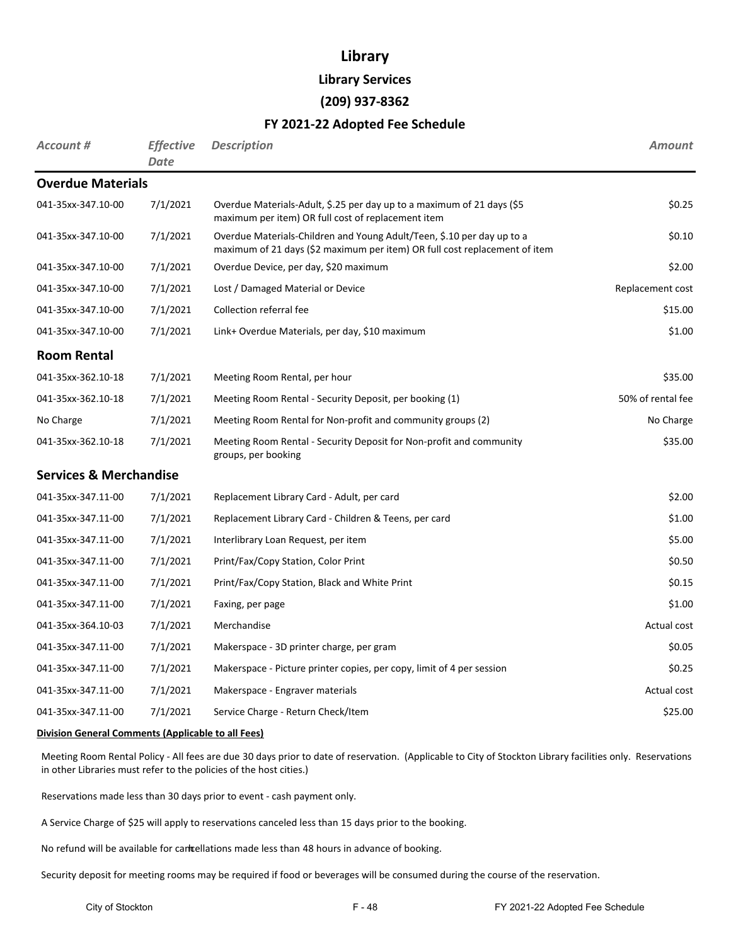# **Library**

**Library Services**

### **(209) 937-8362**

# **FY 2021-22 Adopted Fee Schedule**

| <b>Account #</b>                  | <b>Effective</b><br><b>Date</b> | <b>Description</b>                                                                                                                                   | <b>Amount</b>     |
|-----------------------------------|---------------------------------|------------------------------------------------------------------------------------------------------------------------------------------------------|-------------------|
| <b>Overdue Materials</b>          |                                 |                                                                                                                                                      |                   |
| 041-35xx-347.10-00                | 7/1/2021                        | Overdue Materials-Adult, \$.25 per day up to a maximum of 21 days (\$5<br>maximum per item) OR full cost of replacement item                         | \$0.25            |
| 041-35xx-347.10-00                | 7/1/2021                        | Overdue Materials-Children and Young Adult/Teen, \$.10 per day up to a<br>maximum of 21 days (\$2 maximum per item) OR full cost replacement of item | \$0.10            |
| 041-35xx-347.10-00                | 7/1/2021                        | Overdue Device, per day, \$20 maximum                                                                                                                | \$2.00            |
| 041-35xx-347.10-00                | 7/1/2021                        | Lost / Damaged Material or Device                                                                                                                    | Replacement cost  |
| 041-35xx-347.10-00                | 7/1/2021                        | Collection referral fee                                                                                                                              | \$15.00           |
| 041-35xx-347.10-00                | 7/1/2021                        | Link+ Overdue Materials, per day, \$10 maximum                                                                                                       | \$1.00            |
| <b>Room Rental</b>                |                                 |                                                                                                                                                      |                   |
| 041-35xx-362.10-18                | 7/1/2021                        | Meeting Room Rental, per hour                                                                                                                        | \$35.00           |
| 041-35xx-362.10-18                | 7/1/2021                        | Meeting Room Rental - Security Deposit, per booking (1)                                                                                              | 50% of rental fee |
| No Charge                         | 7/1/2021                        | Meeting Room Rental for Non-profit and community groups (2)                                                                                          | No Charge         |
| 041-35xx-362.10-18                | 7/1/2021                        | Meeting Room Rental - Security Deposit for Non-profit and community<br>groups, per booking                                                           | \$35.00           |
| <b>Services &amp; Merchandise</b> |                                 |                                                                                                                                                      |                   |
| 041-35xx-347.11-00                | 7/1/2021                        | Replacement Library Card - Adult, per card                                                                                                           | \$2.00            |
| 041-35xx-347.11-00                | 7/1/2021                        | Replacement Library Card - Children & Teens, per card                                                                                                | \$1.00            |
| 041-35xx-347.11-00                | 7/1/2021                        | Interlibrary Loan Request, per item                                                                                                                  | \$5.00            |
| 041-35xx-347.11-00                | 7/1/2021                        | Print/Fax/Copy Station, Color Print                                                                                                                  | \$0.50            |
| 041-35xx-347.11-00                | 7/1/2021                        | Print/Fax/Copy Station, Black and White Print                                                                                                        | \$0.15            |
| 041-35xx-347.11-00                | 7/1/2021                        | Faxing, per page                                                                                                                                     | \$1.00            |
| 041-35xx-364.10-03                | 7/1/2021                        | Merchandise                                                                                                                                          | Actual cost       |
| 041-35xx-347.11-00                | 7/1/2021                        | Makerspace - 3D printer charge, per gram                                                                                                             | \$0.05            |
| 041-35xx-347.11-00                | 7/1/2021                        | Makerspace - Picture printer copies, per copy, limit of 4 per session                                                                                | \$0.25            |
| 041-35xx-347.11-00                | 7/1/2021                        | Makerspace - Engraver materials                                                                                                                      | Actual cost       |
| 041-35xx-347.11-00                | 7/1/2021                        | Service Charge - Return Check/Item                                                                                                                   | \$25.00           |

#### **Division General Comments (Applicable to all Fees)**

Meeting Room Rental Policy - All fees are due 30 days prior to date of reservation. (Applicable to City of Stockton Library facilities only. Reservations in other Libraries must refer to the policies of the host cities.)

Reservations made less than 30 days prior to event - cash payment only.

A Service Charge of \$25 will apply to reservations canceled less than 15 days prior to the booking.

No refund will be available for cancellations made less than 48 hours in advance of booking.

Security deposit for meeting rooms may be required if food or beverages will be consumed during the course of the reservation.